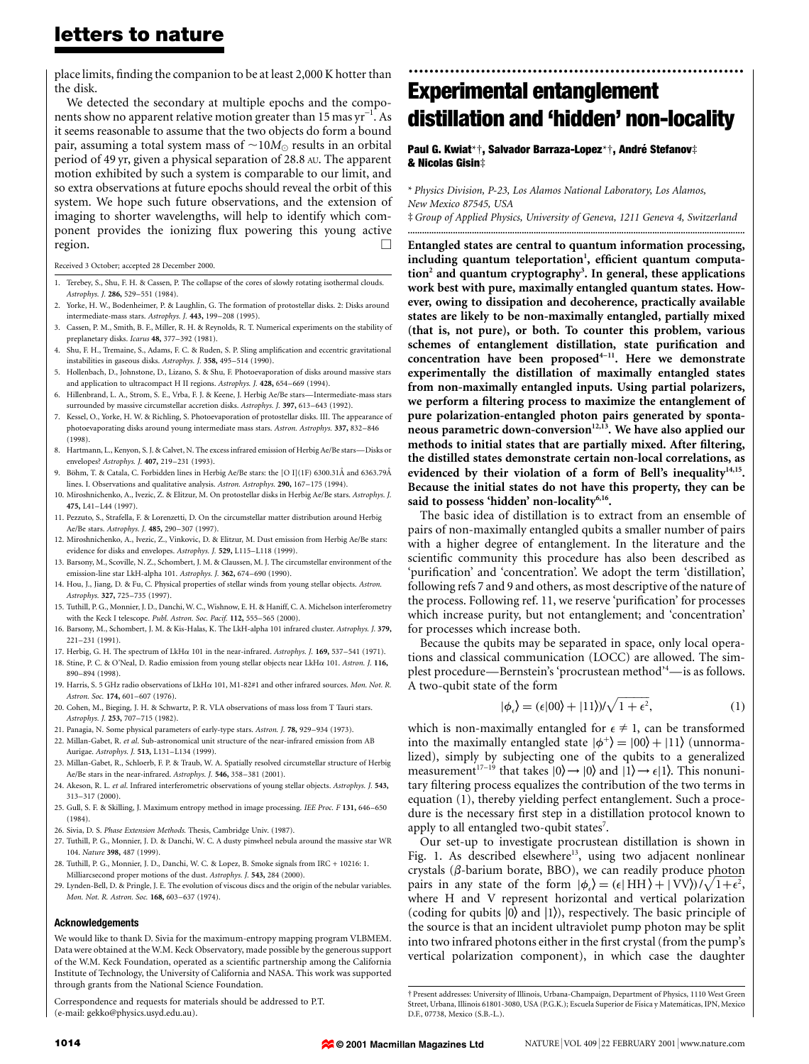## letters to nature

place limits, finding the companion to be at least 2,000 K hotter than the disk.

We detected the secondary at multiple epochs and the components show no apparent relative motion greater than 15 mas yr<sup>-1</sup>. As it seems reasonable to assume that the two objects do form a bound pair, assuming a total system mass of  $\sim 10M_{\odot}$  results in an orbital period of 49 yr, given a physical separation of 28.8 AU. The apparent motion exhibited by such a system is comparable to our limit, and so extra observations at future epochs should reveal the orbit of this system. We hope such future observations, and the extension of imaging to shorter wavelengths, will help to identify which component provides the ionizing flux powering this young active region.  $\qquad \qquad \Box$ 

Received 3 October; accepted 28 December 2000.

- 1. Terebey, S., Shu, F. H. & Cassen, P. The collapse of the cores of slowly rotating isothermal clouds. Astrophys. J. 286, 529-551 (1984).
- Yorke, H. W., Bodenheimer, P. & Laughlin, G. The formation of protostellar disks. 2: Disks around intermediate-mass stars. Astrophys. J. 443, 199-208 (1995).
- 3. Cassen, P. M., Smith, B. F., Miller, R. H. & Reynolds, R. T. Numerical experiments on the stability of preplanetary disks. Icarus 48, 377-392 (1981).
- 4. Shu, F. H., Tremaine, S., Adams, F. C. & Ruden, S. P. Sling amplification and eccentric gravitational instabilities in gaseous disks. Astrophys. J. 358, 495-514 (1990).
- 5. Hollenbach, D., Johnstone, D., Lizano, S. & Shu, F. Photoevaporation of disks around massive stars and application to ultracompact H II regions. Astrophys. J. 428, 654-669 (1994).
- 6. Hillenbrand, L. A., Strom, S. E., Vrba, F. J. & Keene, J. Herbig Ae/Be stars-Intermediate-mass stars surrounded by massive circumstellar accretion disks. Astrophys. J. 397, 613-643 (1992).
- 7. Kessel, O., Yorke, H. W. & Richling, S. Photoevaporation of protostellar disks. III. The appearance of photoevaporating disks around young intermediate mass stars. Astron. Astrophys. 337, 832-846 (1998).
- 8. Hartmann, L., Kenyon, S. J. & Calvet, N. The excess infrared emission of Herbig Ae/Be stars-Disks or envelopes? Astrophys. J. 407, 219-231 (1993).
- 9. Böhm, T. & Catala, C. Forbidden lines in Herbig Ae/Be stars: the [O I](1F) 6300.31Å and 6363.79Å lines. I. Observations and qualitative analysis. Astron. Astrophys. 290, 167-175 (1994).
- 10. Miroshnichenko, A., Ivezic, Z. & Elitzur, M. On protostellar disks in Herbig Ae/Be stars. Astrophys. J. 475, L<sub>41</sub>-L<sub>44</sub> (1997).
- 11. Pezzuto, S., Strafella, F. & Lorenzetti, D. On the circumstellar matter distribution around Herbig Ae/Be stars. Astrophys. J. 485, 290-307 (1997).
- 12. Miroshnichenko, A., Ivezic, Z., Vinkovic, D. & Elitzur, M. Dust emission from Herbig Ae/Be stars: evidence for disks and envelopes. Astrophys. J. 529, L115-L118 (1999).
- 13. Barsony, M., Scoville, N. Z., Schombert, J. M. & Claussen, M. J. The circumstellar environment of the emission-line star LkH-alpha 101. Astrophys. J. 362, 674-690 (1990).
- 14. Hou, J., Jiang, D. & Fu, C. Physical properties of stellar winds from young stellar objects. Astron. Astrophys. 327, 725-735 (1997).
- 15. Tuthill, P. G., Monnier, J. D., Danchi, W. C., Wishnow, E. H. & Haniff, C. A. Michelson interferometry with the Keck I telescope. Publ. Astron. Soc. Pacif. 112, 555-565 (2000).
- 16. Barsony, M., Schombert, J. M. & Kis-Halas, K. The LkH-alpha 101 infrared cluster. Astrophys. J. 379, 221±231 (1991).
- 17. Herbig, G. H. The spectrum of LkH $\alpha$  101 in the near-infrared. Astrophys. J. 169, 537-541 (1971).
- 18. Stine, P. C. & O'Neal, D. Radio emission from young stellar objects near LkHα 101. Astron. J. 116, 890±894 (1998).
- 19. Harris, S. 5 GHz radio observations of  $LkH\alpha$  101, M1-82#1 and other infrared sources. Mon. Not. R. Astron. Soc. 174, 601-607 (1976).
- 20. Cohen, M., Bieging, J. H. & Schwartz, P. R. VLA observations of mass loss from T Tauri stars. Astrophys. J. 253, 707-715 (1982).
- 21. Panagia, N. Some physical parameters of early-type stars. Astron. J. 78, 929-934 (1973). 22. Millan-Gabet, R. et al. Sub-astronomical unit structure of the near-infrared emission from AB
- Aurigae. Astrophys. J. 513, L131-L134 (1999).
- 23. Millan-Gabet, R., Schloerb, F. P. & Traub, W. A. Spatially resolved circumstellar structure of Herbig Ae/Be stars in the near-infrared. Astrophys. *I*. 546, 358-381 (2001).
- 24. Akeson, R. L. et al. Infrared interferometric observations of young stellar objects. Astrophys. J. 543, 313±317 (2000).
- 25. Gull, S. F. & Skilling, J. Maximum entropy method in image processing. IEE Proc. F 131, 646-650 (1984).
- 26. Sivia, D. S. Phase Extension Methods. Thesis, Cambridge Univ. (1987).
- 27. Tuthill, P. G., Monnier, J. D. & Danchi, W. C. A dusty pinwheel nebula around the massive star WR 104. Nature 398, 487 (1999).
- 28. Tuthill, P. G., Monnier, J. D., Danchi, W. C. & Lopez, B. Smoke signals from IRC + 10216: 1. Milliarcsecond proper motions of the dust. Astrophys. J. 543, 284 (2000).
- 29. Lynden-Bell, D. & Pringle, J. E. The evolution of viscous discs and the origin of the nebular variables. Mon. Not. R. Astron. Soc. 168, 603-637 (1974).

#### Acknowledgements

We would like to thank D. Sivia for the maximum-entropy mapping program VLBMEM. Data were obtained at the W.M. Keck Observatory, made possible by the generous support of the W.M. Keck Foundation, operated as a scientific partnership among the California Institute of Technology, the University of California and NASA. This work was supported through grants from the National Science Foundation.

Correspondence and requests for materials should be addressed to P.T. (e-mail: gekko@physics.usyd.edu.au).

# ................................................................. Experimental entanglement distillation and 'hidden' non-locality

#### Paul G. Kwiat\*†, Salvador Barraza-Lopez\*†, André Stefanov‡ & Nicolas Gisin‡

\* Physics Division, P-23, Los Alamos National Laboratory, Los Alamos, New Mexico 87545, USA ³Group of Applied Physics, University of Geneva, 1211 Geneva 4, Switzerland

..............................................................................................................................................

Entangled states are central to quantum information processing, including quantum teleportation<sup>1</sup>, efficient quantum computation $^{\rm 2}$  and quantum cryptography $^{\rm 3}$ . In general, these applications work best with pure, maximally entangled quantum states. However, owing to dissipation and decoherence, practically available states are likely to be non-maximally entangled, partially mixed (that is, not pure), or both. To counter this problem, various schemes of entanglement distillation, state purification and concentration have been proposed<sup>4-11</sup>. Here we demonstrate experimentally the distillation of maximally entangled states from non-maximally entangled inputs. Using partial polarizers, we perform a filtering process to maximize the entanglement of pure polarization-entangled photon pairs generated by spontaneous parametric down-conversion<sup>12,13</sup>. We have also applied our methods to initial states that are partially mixed. After filtering, the distilled states demonstrate certain non-local correlations, as evidenced by their violation of a form of Bell's inequality<sup>14,15</sup>. Because the initial states do not have this property, they can be said to possess 'hidden' non-locality<sup>6,16</sup>.

The basic idea of distillation is to extract from an ensemble of pairs of non-maximally entangled qubits a smaller number of pairs with a higher degree of entanglement. In the literature and the scientific community this procedure has also been described as 'purification' and 'concentration'. We adopt the term 'distillation', following refs 7 and 9 and others, as most descriptive of the nature of the process. Following ref. 11, we reserve 'purification' for processes which increase purity, but not entanglement; and 'concentration' for processes which increase both.

Because the qubits may be separated in space, only local operations and classical communication (LOCC) are allowed. The simplest procedure—Bernstein's 'procrustean method'<sup>4</sup>—is as follows. A two-qubit state of the form

$$
|\phi_{\epsilon}\rangle = (\epsilon|00\rangle + |11\rangle)/\sqrt{1+\epsilon^2},\tag{1}
$$

which is non-maximally entangled for  $\epsilon \neq 1$ , can be transformed into the maximally entangled state  $|\phi^+\rangle = |00\rangle + |11\rangle$  (unnormalized), simply by subjecting one of the qubits to a generalized measurement<sup>17-19</sup> that takes  $|0\rangle \rightarrow |0\rangle$  and  $|1\rangle \rightarrow \epsilon |1\rangle$ . This nonunitary filtering process equalizes the contribution of the two terms in equation (1), thereby yielding perfect entanglement. Such a procedure is the necessary first step in a distillation protocol known to apply to all entangled two-qubit states<sup>7</sup>.

Our set-up to investigate procrustean distillation is shown in Fig. 1. As described elsewhere<sup>13</sup>, using two adjacent nonlinear crystals ( $\beta$ -barium borate, BBO), we can readily produce photon pairs in any state of the form  $|\phi_{\epsilon}\rangle = (\epsilon | HH\rangle + |VV\rangle)/\sqrt{1+\epsilon^2}$ , where H and V represent horizontal and vertical polarization (coding for qubits  $|0\rangle$  and  $|1\rangle$ ), respectively. The basic principle of the source is that an incident ultraviolet pump photon may be split into two infrared photons either in the first crystal (from the pump's vertical polarization component), in which case the daughter

² Present addresses: University of Illinois, Urbana-Champaign, Department of Physics, 1110 West Green Street, Urbana, Illinois 61801-3080, USA (P.G.K.); Escuela Superior de Física y Matemáticas, IPN, Mexico D.F., 07738, Mexico (S.B.-L.).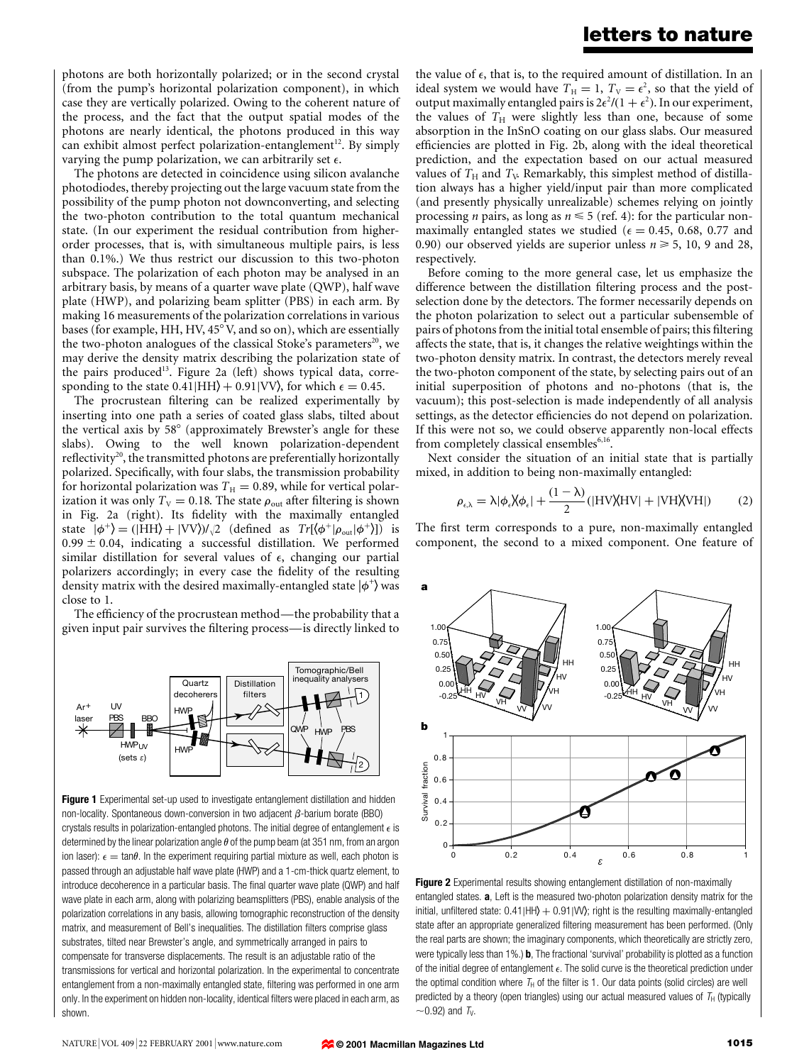### letters to nature

photons are both horizontally polarized; or in the second crystal (from the pump's horizontal polarization component), in which case they are vertically polarized. Owing to the coherent nature of the process, and the fact that the output spatial modes of the photons are nearly identical, the photons produced in this way can exhibit almost perfect polarization-entanglement<sup>12</sup>. By simply varying the pump polarization, we can arbitrarily set  $\epsilon$ .

The photons are detected in coincidence using silicon avalanche photodiodes, thereby projecting out the large vacuum state from the possibility of the pump photon not downconverting, and selecting the two-photon contribution to the total quantum mechanical state. (In our experiment the residual contribution from higherorder processes, that is, with simultaneous multiple pairs, is less than 0.1%.) We thus restrict our discussion to this two-photon subspace. The polarization of each photon may be analysed in an arbitrary basis, by means of a quarter wave plate (QWP), half wave plate (HWP), and polarizing beam splitter (PBS) in each arm. By making 16 measurements of the polarization correlations in various bases (for example, HH, HV,  $45^{\circ}$  V, and so on), which are essentially the two-photon analogues of the classical Stoke's parameters<sup>20</sup>, we may derive the density matrix describing the polarization state of the pairs produced<sup>13</sup>. Figure 2a (left) shows typical data, corresponding to the state  $0.41|HH\rangle + 0.91|VV\rangle$ , for which  $\epsilon = 0.45$ .

The procrustean filtering can be realized experimentally by inserting into one path a series of coated glass slabs, tilted about the vertical axis by  $58^{\circ}$  (approximately Brewster's angle for these slabs). Owing to the well known polarization-dependent reflectivity<sup>20</sup>, the transmitted photons are preferentially horizontally polarized. Specifically, with four slabs, the transmission probability for horizontal polarization was  $T_H = 0.89$ , while for vertical polarization it was only  $T_V = 0.18$ . The state  $\rho_{\text{out}}$  after filtering is shown in Fig. 2a (right). Its fidelity with the maximally entangled state  $|\phi^+\rangle = (|HH\rangle + |VV\rangle)/\sqrt{2}$  (defined as  $Tr[\langle \phi^+| \rho_{out} | \phi^+ \rangle]$ ) is  $0.99 \pm 0.04$ , indicating a successful distillation. We performed similar distillation for several values of  $\epsilon$ , changing our partial polarizers accordingly; in every case the fidelity of the resulting density matrix with the desired maximally-entangled state  $|\phi^{+}\rangle$  was close to 1.

The efficiency of the procrustean method—the probability that a given input pair survives the filtering process—is directly linked to



Figure 1 Experimental set-up used to investigate entanglement distillation and hidden non-locality. Spontaneous down-conversion in two adjacent  $\beta$ -barium borate (BBO) crystals results in polarization-entangled photons. The initial degree of entanglement  $\epsilon$  is determined by the linear polarization angle  $\theta$  of the pump beam (at 351 nm, from an argon ion laser):  $\epsilon = \tan\theta$ . In the experiment requiring partial mixture as well, each photon is passed through an adjustable half wave plate (HWP) and a 1-cm-thick quartz element, to introduce decoherence in a particular basis. The final quarter wave plate (QWP) and half wave plate in each arm, along with polarizing beamsplitters (PBS), enable analysis of the polarization correlations in any basis, allowing tomographic reconstruction of the density matrix, and measurement of Bell's inequalities. The distillation filters comprise glass substrates, tilted near Brewster's angle, and symmetrically arranged in pairs to compensate for transverse displacements. The result is an adjustable ratio of the transmissions for vertical and horizontal polarization. In the experimental to concentrate entanglement from a non-maximally entangled state, filtering was performed in one arm only. In the experiment on hidden non-locality, identical filters were placed in each arm, as shown.

the value of  $\epsilon$ , that is, to the required amount of distillation. In an ideal system we would have  $T_H = 1$ ,  $T_V = \epsilon^2$ , so that the yield of output maximally entangled pairs is  $2\epsilon^2/(1+\epsilon^2)$ . In our experiment, the values of  $T_H$  were slightly less than one, because of some absorption in the InSnO coating on our glass slabs. Our measured efficiencies are plotted in Fig. 2b, along with the ideal theoretical prediction, and the expectation based on our actual measured values of  $T_H$  and  $T_V$ . Remarkably, this simplest method of distillation always has a higher yield/input pair than more complicated (and presently physically unrealizable) schemes relying on jointly processing *n* pairs, as long as  $n \leq 5$  (ref. 4): for the particular nonmaximally entangled states we studied ( $\epsilon = 0.45, 0.68, 0.77$  and 0.90) our observed yields are superior unless  $n \ge 5$ , 10, 9 and 28, respectively.

Before coming to the more general case, let us emphasize the difference between the distillation filtering process and the postselection done by the detectors. The former necessarily depends on the photon polarization to select out a particular subensemble of pairs of photons from the initial total ensemble of pairs; this filtering affects the state, that is, it changes the relative weightings within the two-photon density matrix. In contrast, the detectors merely reveal the two-photon component of the state, by selecting pairs out of an initial superposition of photons and no-photons (that is, the vacuum); this post-selection is made independently of all analysis settings, as the detector efficiencies do not depend on polarization. If this were not so, we could observe apparently non-local effects from completely classical ensembles<sup>6,16</sup>.

Next consider the situation of an initial state that is partially mixed, in addition to being non-maximally entangled:

$$
\rho_{\epsilon,\lambda} = \lambda |\phi_{\epsilon} \rangle |\phi_{\epsilon}| + \frac{(1 - \lambda)}{2} (|HV\rangle |HV| + |VH\rangle |VH|)
$$
 (2)

The first term corresponds to a pure, non-maximally entangled component, the second to a mixed component. One feature of



Figure 2 Experimental results showing entanglement distillation of non-maximally entangled states. a, Left is the measured two-photon polarization density matrix for the initial, unfiltered state:  $0.41$ |HH $\rangle + 0.91$ |VV $\rangle$ ; right is the resulting maximally-entangled state after an appropriate generalized filtering measurement has been performed. (Only the real parts are shown; the imaginary components, which theoretically are strictly zero, were typically less than 1%.) **b**, The fractional 'survival' probability is plotted as a function of the initial degree of entanglement  $\epsilon$ . The solid curve is the theoretical prediction under the optimal condition where  $T_H$  of the filter is 1. Our data points (solid circles) are well predicted by a theory (open triangles) using our actual measured values of  $T_H$  (typically  $\sim$  0.92) and T<sub>V</sub>.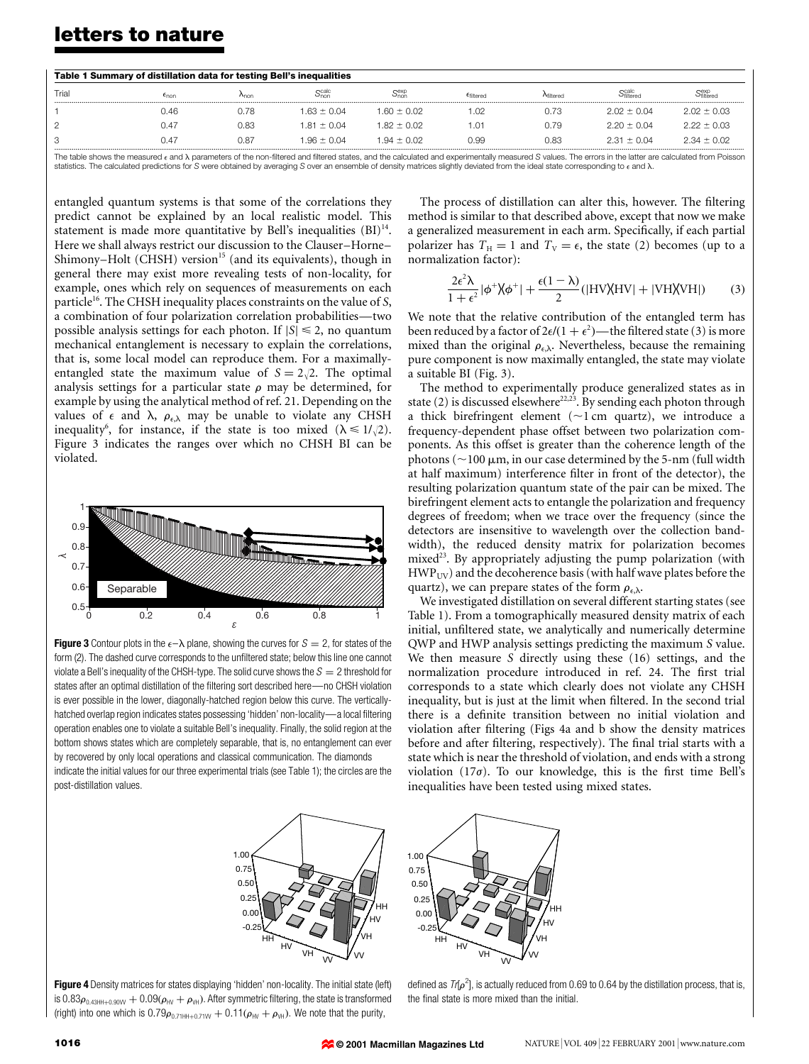## letters to nature

| Table 1 Summary of distillation data for testing Bell's inequalities |                |      |                       |                                 |           |                   |                                |                 |
|----------------------------------------------------------------------|----------------|------|-----------------------|---------------------------------|-----------|-------------------|--------------------------------|-----------------|
| Trial                                                                | $\epsilon$ non | Anon | $\alpha$ calc<br>Onor | S <sub>non</sub> <sup>exp</sup> | Efiltered | <b>A</b> filtered | S <sup>calc</sup><br>Sfilterer | Sfiltered       |
|                                                                      | 0.46           | 0.78 | $1.63 \pm 0.04$       | $1.60 \pm 0.02$                 | .02       | 0.73              | $2.02 \pm 0.04$                | $2.02 \pm 0.03$ |
| 2                                                                    | 0.47           | 0.83 | $1.81 \pm 0.04$       | $182 + 002$                     | 01. ،     | 0.79              | $2.20 \pm 0.04$                | $2.22 \pm 0.03$ |
| 3                                                                    | 0.47           | 0.87 | 196+004               | $1.94 + 0.02$                   | 0.99      | 0.83              | $2.31 + 0.04$                  | $2.34 \pm 0.02$ |

The table shows the measured  $\epsilon$  and  $\lambda$  parameters of the non-filtered and filtered states, and the calculated and experimentally measured S values. The errors in the latter are calculated from Poisson statistics. The calculated predictions for S were obtained by averaging S over an ensemble of density matrices slightly deviated from the ideal state corresponding to  $\epsilon$  and  $\lambda$ .

entangled quantum systems is that some of the correlations they predict cannot be explained by an local realistic model. This statement is made more quantitative by Bell's inequalities  $(BI)^{14}$ . Here we shall always restrict our discussion to the Clauser-Horne-Shimony-Holt (CHSH) version<sup>15</sup> (and its equivalents), though in general there may exist more revealing tests of non-locality, for example, ones which rely on sequences of measurements on each particle<sup>16</sup>. The CHSH inequality places constraints on the value of  $S$ , a combination of four polarization correlation probabilities—two possible analysis settings for each photon. If  $|S| \le 2$ , no quantum mechanical entanglement is necessary to explain the correlations, that is, some local model can reproduce them. For a maximallyentangled state the maximum value of  $S = 2\sqrt{2}$ . The optimal analysis settings for a particular state  $\rho$  may be determined, for example by using the analytical method of ref. 21. Depending on the values of  $\epsilon$  and  $\lambda$ ,  $\rho_{\epsilon,\lambda}$  may be unable to violate any CHSH inequality<sup>6</sup>, for instance, if the state is too mixed ( $\lambda \leq 1/\sqrt{2}$ ). Figure 3 indicates the ranges over which no CHSH BI can be violated.



**Figure 3** Contour plots in the  $\epsilon-\lambda$  plane, showing the curves for  $S = 2$ , for states of the form (2). The dashed curve corresponds to the unfiltered state; below this line one cannot violate a Bell's inequality of the CHSH-type. The solid curve shows the  $S = 2$  threshold for states after an optimal distillation of the filtering sort described here—no CHSH violation is ever possible in the lower, diagonally-hatched region below this curve. The verticallyhatched overlap region indicates states possessing 'hidden' non-locality—a local filtering operation enables one to violate a suitable Bell's inequality. Finally, the solid region at the bottom shows states which are completely separable, that is, no entanglement can ever by recovered by only local operations and classical communication. The diamonds indicate the initial values for our three experimental trials (see Table 1); the circles are the post-distillation values.

The process of distillation can alter this, however. The filtering method is similar to that described above, except that now we make a generalized measurement in each arm. Specifically, if each partial polarizer has  $T_H = 1$  and  $T_V = \epsilon$ , the state (2) becomes (up to a normalization factor):

$$
\frac{2\epsilon^2 \lambda}{1+\epsilon^2} |\phi^+ \chi \phi^+| + \frac{\epsilon (1-\lambda)}{2} (|HV \chi HV| + |VH \chi VH|)
$$
 (3)

We note that the relative contribution of the entangled term has been reduced by a factor of 2 $\epsilon/(1+\epsilon^2)$ —the filtered state (3) is more mixed than the original  $\rho_{\epsilon,\lambda}$ . Nevertheless, because the remaining pure component is now maximally entangled, the state may violate a suitable BI (Fig. 3).

The method to experimentally produce generalized states as in state (2) is discussed elsewhere<sup>22,23</sup>. By sending each photon through a thick birefringent element  $(\sim 1 \text{ cm}$  quartz), we introduce a frequency-dependent phase offset between two polarization components. As this offset is greater than the coherence length of the photons ( $\sim$ 100  $\mu$ m, in our case determined by the 5-nm (full width at half maximum) interference filter in front of the detector), the resulting polarization quantum state of the pair can be mixed. The birefringent element acts to entangle the polarization and frequency degrees of freedom; when we trace over the frequency (since the detectors are insensitive to wavelength over the collection bandwidth), the reduced density matrix for polarization becomes mixed<sup>23</sup>. By appropriately adjusting the pump polarization (with  $HWP<sub>UV</sub>$ ) and the decoherence basis (with half wave plates before the quartz), we can prepare states of the form  $\rho_{\epsilon,\lambda}$ .

We investigated distillation on several different starting states (see Table 1). From a tomographically measured density matrix of each initial, unfiltered state, we analytically and numerically determine QWP and HWP analysis settings predicting the maximum S value. We then measure S directly using these (16) settings, and the normalization procedure introduced in ref. 24. The first trial corresponds to a state which clearly does not violate any CHSH inequality, but is just at the limit when filtered. In the second trial there is a definite transition between no initial violation and violation after filtering (Figs 4a and b show the density matrices before and after filtering, respectively). The final trial starts with a state which is near the threshold of violation, and ends with a strong violation (17 $\sigma$ ). To our knowledge, this is the first time Bell's inequalities have been tested using mixed states.



Figure 4 Density matrices for states displaying 'hidden' non-locality. The initial state (left) is  $0.83\rho_{0.43HH+0.90W} + 0.09(\rho_{HV} + \rho_{VH})$ . After symmetric filtering, the state is transformed (right) into one which is  $0.79\rho_{0.71HH+0.71W} + 0.11(\rho_{HV} + \rho_{VH})$ . We note that the purity,

defined as  $\textit{Tr}[\rho^2]$ , is actually reduced from 0.69 to 0.64 by the distillation process, that is, the final state is more mixed than the initial.